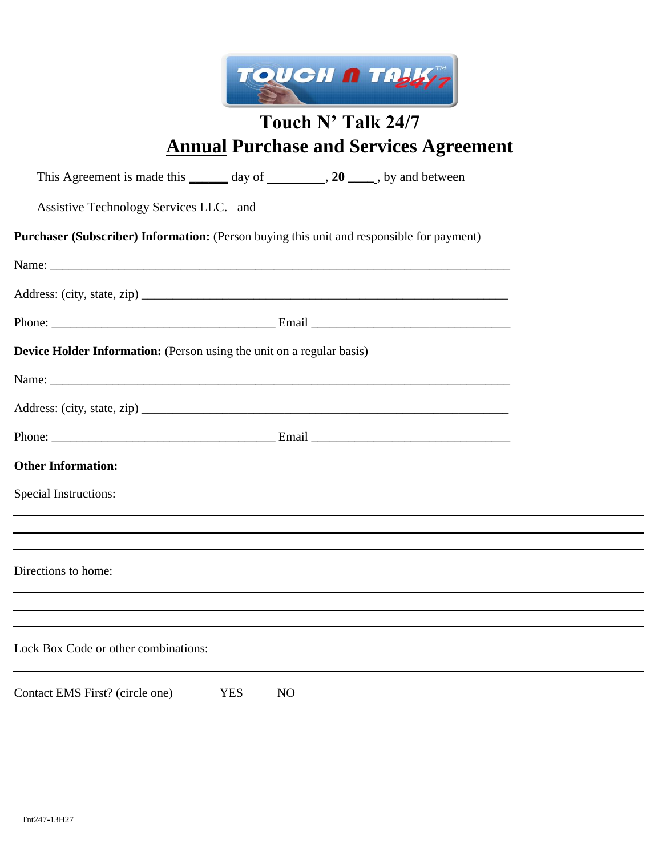

# **Touch N' Talk 24/7 Annual Purchase and Services Agreement**

| This Agreement is made this _______ day of _________, 20 _____, by and between            |  |
|-------------------------------------------------------------------------------------------|--|
| Assistive Technology Services LLC. and                                                    |  |
| Purchaser (Subscriber) Information: (Person buying this unit and responsible for payment) |  |
|                                                                                           |  |
|                                                                                           |  |
|                                                                                           |  |
| <b>Device Holder Information:</b> (Person using the unit on a regular basis)              |  |
|                                                                                           |  |
|                                                                                           |  |
|                                                                                           |  |
| <b>Other Information:</b>                                                                 |  |
| <b>Special Instructions:</b>                                                              |  |
| ,我们也不会有什么。""我们的人,我们也不会有什么?""我们的人,我们也不会有什么?""我们的人,我们也不会有什么?""我们的人,我们也不会有什么?""我们的人          |  |
|                                                                                           |  |
| Directions to home:                                                                       |  |
| ,我们也不会有什么。""我们的人,我们也不会有什么?""我们的人,我们也不会有什么?""我们的人,我们也不会有什么?""我们的人,我们也不会有什么?""我们的人          |  |
| Lock Box Code or other combinations:                                                      |  |
| Contact EMS First? (circle one)<br><b>YES</b><br>N <sub>O</sub>                           |  |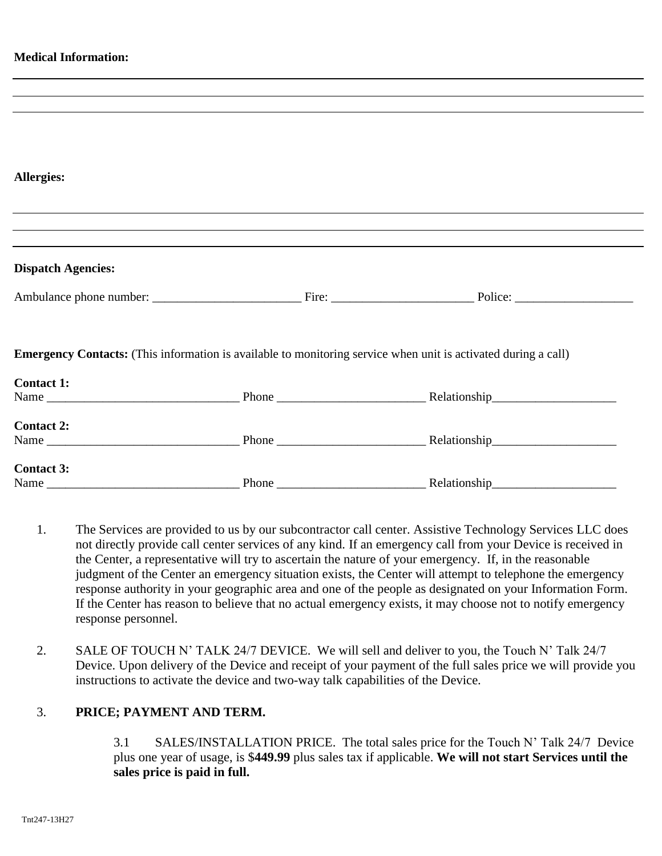| <b>Medical Information:</b> |                                                                                                                                                                      |
|-----------------------------|----------------------------------------------------------------------------------------------------------------------------------------------------------------------|
|                             | <u> 1989 - Johann Stoff, amerikansk politiker (d. 1989)</u>                                                                                                          |
|                             |                                                                                                                                                                      |
|                             |                                                                                                                                                                      |
|                             |                                                                                                                                                                      |
|                             |                                                                                                                                                                      |
| <b>Allergies:</b>           |                                                                                                                                                                      |
|                             |                                                                                                                                                                      |
|                             | ,我们也不会有什么。""我们的人,我们也不会有什么?""我们的人,我们也不会有什么?""我们的人,我们也不会有什么?""我们的人,我们也不会有什么?""我们的人                                                                                     |
|                             | ,我们也不会有什么。""我们的人,我们也不会有什么?""我们的人,我们也不会有什么?""我们的人,我们也不会有什么?""我们的人,我们也不会有什么?""我们的人<br>,我们也不会有什么。""我们的人,我们也不会有什么?""我们的人,我们也不会有什么?""我们的人,我们也不会有什么?""我们的人,我们也不会有什么?""我们的人 |
| <b>Dispatch Agencies:</b>   |                                                                                                                                                                      |
|                             |                                                                                                                                                                      |
|                             | <b>Emergency Contacts:</b> (This information is available to monitoring service when unit is activated during a call)                                                |
| <b>Contact 1:</b>           |                                                                                                                                                                      |
|                             |                                                                                                                                                                      |
| <b>Contact 2:</b>           |                                                                                                                                                                      |
|                             |                                                                                                                                                                      |
|                             |                                                                                                                                                                      |
| <b>Contact 3:</b>           |                                                                                                                                                                      |
|                             |                                                                                                                                                                      |

- 1. The Services are provided to us by our subcontractor call center. Assistive Technology Services LLC does not directly provide call center services of any kind. If an emergency call from your Device is received in the Center, a representative will try to ascertain the nature of your emergency. If, in the reasonable judgment of the Center an emergency situation exists, the Center will attempt to telephone the emergency response authority in your geographic area and one of the people as designated on your Information Form. If the Center has reason to believe that no actual emergency exists, it may choose not to notify emergency response personnel.
- 2. SALE OF TOUCH N' TALK 24/7 DEVICE. We will sell and deliver to you, the Touch N' Talk 24/7 Device. Upon delivery of the Device and receipt of your payment of the full sales price we will provide you instructions to activate the device and two-way talk capabilities of the Device.

### 3. **PRICE; PAYMENT AND TERM.**

3.1 SALES/INSTALLATION PRICE. The total sales price for the Touch N' Talk 24/7 Device plus one year of usage, is \$**449.99** plus sales tax if applicable. **We will not start Services until the sales price is paid in full.**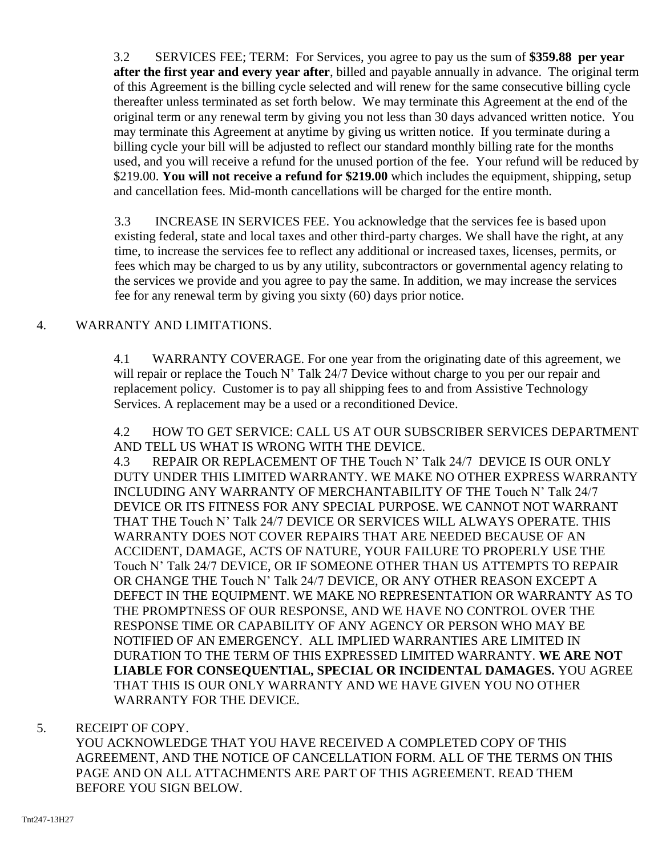3.2 SERVICES FEE; TERM: For Services, you agree to pay us the sum of **\$359.88 per year after the first year and every year after**, billed and payable annually in advance. The original term of this Agreement is the billing cycle selected and will renew for the same consecutive billing cycle thereafter unless terminated as set forth below. We may terminate this Agreement at the end of the original term or any renewal term by giving you not less than 30 days advanced written notice. You may terminate this Agreement at anytime by giving us written notice. If you terminate during a billing cycle your bill will be adjusted to reflect our standard monthly billing rate for the months used, and you will receive a refund for the unused portion of the fee. Your refund will be reduced by \$219.00. **You will not receive a refund for \$219.00** which includes the equipment, shipping, setup and cancellation fees. Mid-month cancellations will be charged for the entire month.

3.3 INCREASE IN SERVICES FEE. You acknowledge that the services fee is based upon existing federal, state and local taxes and other third-party charges. We shall have the right, at any time, to increase the services fee to reflect any additional or increased taxes, licenses, permits, or fees which may be charged to us by any utility, subcontractors or governmental agency relating to the services we provide and you agree to pay the same. In addition, we may increase the services fee for any renewal term by giving you sixty (60) days prior notice.

## 4. WARRANTY AND LIMITATIONS.

4.1 WARRANTY COVERAGE. For one year from the originating date of this agreement, we will repair or replace the Touch N' Talk 24/7 Device without charge to you per our repair and replacement policy. Customer is to pay all shipping fees to and from Assistive Technology Services. A replacement may be a used or a reconditioned Device.

4.2 HOW TO GET SERVICE: CALL US AT OUR SUBSCRIBER SERVICES DEPARTMENT AND TELL US WHAT IS WRONG WITH THE DEVICE.

4.3 REPAIR OR REPLACEMENT OF THE Touch N' Talk 24/7 DEVICE IS OUR ONLY DUTY UNDER THIS LIMITED WARRANTY. WE MAKE NO OTHER EXPRESS WARRANTY INCLUDING ANY WARRANTY OF MERCHANTABILITY OF THE Touch N' Talk 24/7 DEVICE OR ITS FITNESS FOR ANY SPECIAL PURPOSE. WE CANNOT NOT WARRANT THAT THE Touch N' Talk 24/7 DEVICE OR SERVICES WILL ALWAYS OPERATE. THIS WARRANTY DOES NOT COVER REPAIRS THAT ARE NEEDED BECAUSE OF AN ACCIDENT, DAMAGE, ACTS OF NATURE, YOUR FAILURE TO PROPERLY USE THE Touch N' Talk 24/7 DEVICE, OR IF SOMEONE OTHER THAN US ATTEMPTS TO REPAIR OR CHANGE THE Touch N' Talk 24/7 DEVICE, OR ANY OTHER REASON EXCEPT A DEFECT IN THE EQUIPMENT. WE MAKE NO REPRESENTATION OR WARRANTY AS TO THE PROMPTNESS OF OUR RESPONSE, AND WE HAVE NO CONTROL OVER THE RESPONSE TIME OR CAPABILITY OF ANY AGENCY OR PERSON WHO MAY BE NOTIFIED OF AN EMERGENCY. ALL IMPLIED WARRANTIES ARE LIMITED IN DURATION TO THE TERM OF THIS EXPRESSED LIMITED WARRANTY. **WE ARE NOT LIABLE FOR CONSEQUENTIAL, SPECIAL OR INCIDENTAL DAMAGES.** YOU AGREE THAT THIS IS OUR ONLY WARRANTY AND WE HAVE GIVEN YOU NO OTHER WARRANTY FOR THE DEVICE.

### 5. RECEIPT OF COPY.

YOU ACKNOWLEDGE THAT YOU HAVE RECEIVED A COMPLETED COPY OF THIS AGREEMENT, AND THE NOTICE OF CANCELLATION FORM. ALL OF THE TERMS ON THIS PAGE AND ON ALL ATTACHMENTS ARE PART OF THIS AGREEMENT. READ THEM BEFORE YOU SIGN BELOW.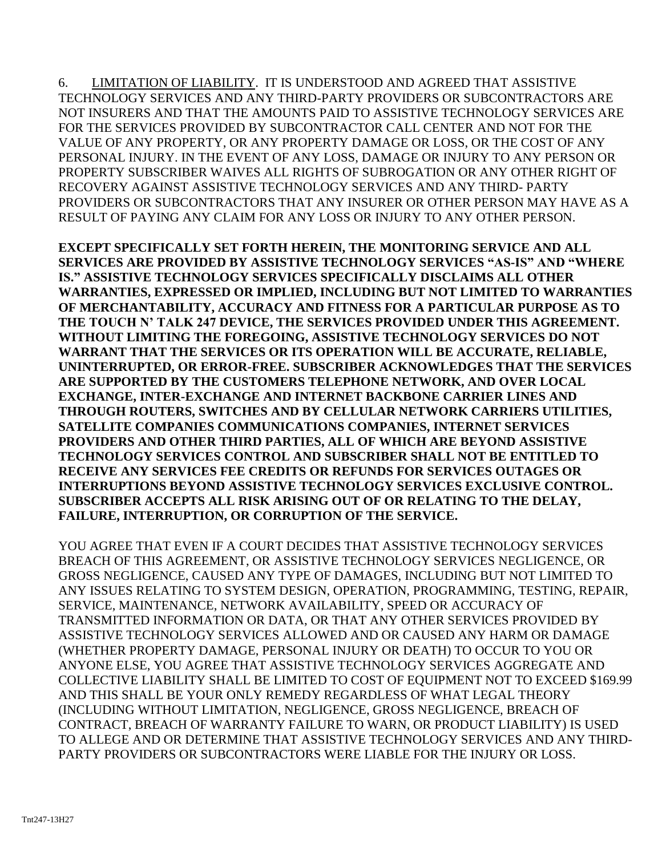6. LIMITATION OF LIABILITY. IT IS UNDERSTOOD AND AGREED THAT ASSISTIVE TECHNOLOGY SERVICES AND ANY THIRD-PARTY PROVIDERS OR SUBCONTRACTORS ARE NOT INSURERS AND THAT THE AMOUNTS PAID TO ASSISTIVE TECHNOLOGY SERVICES ARE FOR THE SERVICES PROVIDED BY SUBCONTRACTOR CALL CENTER AND NOT FOR THE VALUE OF ANY PROPERTY, OR ANY PROPERTY DAMAGE OR LOSS, OR THE COST OF ANY PERSONAL INJURY. IN THE EVENT OF ANY LOSS, DAMAGE OR INJURY TO ANY PERSON OR PROPERTY SUBSCRIBER WAIVES ALL RIGHTS OF SUBROGATION OR ANY OTHER RIGHT OF RECOVERY AGAINST ASSISTIVE TECHNOLOGY SERVICES AND ANY THIRD- PARTY PROVIDERS OR SUBCONTRACTORS THAT ANY INSURER OR OTHER PERSON MAY HAVE AS A RESULT OF PAYING ANY CLAIM FOR ANY LOSS OR INJURY TO ANY OTHER PERSON.

**EXCEPT SPECIFICALLY SET FORTH HEREIN, THE MONITORING SERVICE AND ALL SERVICES ARE PROVIDED BY ASSISTIVE TECHNOLOGY SERVICES "AS-IS" AND "WHERE IS." ASSISTIVE TECHNOLOGY SERVICES SPECIFICALLY DISCLAIMS ALL OTHER WARRANTIES, EXPRESSED OR IMPLIED, INCLUDING BUT NOT LIMITED TO WARRANTIES OF MERCHANTABILITY, ACCURACY AND FITNESS FOR A PARTICULAR PURPOSE AS TO THE TOUCH N' TALK 247 DEVICE, THE SERVICES PROVIDED UNDER THIS AGREEMENT. WITHOUT LIMITING THE FOREGOING, ASSISTIVE TECHNOLOGY SERVICES DO NOT WARRANT THAT THE SERVICES OR ITS OPERATION WILL BE ACCURATE, RELIABLE, UNINTERRUPTED, OR ERROR-FREE. SUBSCRIBER ACKNOWLEDGES THAT THE SERVICES ARE SUPPORTED BY THE CUSTOMERS TELEPHONE NETWORK, AND OVER LOCAL EXCHANGE, INTER-EXCHANGE AND INTERNET BACKBONE CARRIER LINES AND THROUGH ROUTERS, SWITCHES AND BY CELLULAR NETWORK CARRIERS UTILITIES, SATELLITE COMPANIES COMMUNICATIONS COMPANIES, INTERNET SERVICES PROVIDERS AND OTHER THIRD PARTIES, ALL OF WHICH ARE BEYOND ASSISTIVE TECHNOLOGY SERVICES CONTROL AND SUBSCRIBER SHALL NOT BE ENTITLED TO RECEIVE ANY SERVICES FEE CREDITS OR REFUNDS FOR SERVICES OUTAGES OR INTERRUPTIONS BEYOND ASSISTIVE TECHNOLOGY SERVICES EXCLUSIVE CONTROL. SUBSCRIBER ACCEPTS ALL RISK ARISING OUT OF OR RELATING TO THE DELAY, FAILURE, INTERRUPTION, OR CORRUPTION OF THE SERVICE.** 

YOU AGREE THAT EVEN IF A COURT DECIDES THAT ASSISTIVE TECHNOLOGY SERVICES BREACH OF THIS AGREEMENT, OR ASSISTIVE TECHNOLOGY SERVICES NEGLIGENCE, OR GROSS NEGLIGENCE, CAUSED ANY TYPE OF DAMAGES, INCLUDING BUT NOT LIMITED TO ANY ISSUES RELATING TO SYSTEM DESIGN, OPERATION, PROGRAMMING, TESTING, REPAIR, SERVICE, MAINTENANCE, NETWORK AVAILABILITY, SPEED OR ACCURACY OF TRANSMITTED INFORMATION OR DATA, OR THAT ANY OTHER SERVICES PROVIDED BY ASSISTIVE TECHNOLOGY SERVICES ALLOWED AND OR CAUSED ANY HARM OR DAMAGE (WHETHER PROPERTY DAMAGE, PERSONAL INJURY OR DEATH) TO OCCUR TO YOU OR ANYONE ELSE, YOU AGREE THAT ASSISTIVE TECHNOLOGY SERVICES AGGREGATE AND COLLECTIVE LIABILITY SHALL BE LIMITED TO COST OF EQUIPMENT NOT TO EXCEED \$169.99 AND THIS SHALL BE YOUR ONLY REMEDY REGARDLESS OF WHAT LEGAL THEORY (INCLUDING WITHOUT LIMITATION, NEGLIGENCE, GROSS NEGLIGENCE, BREACH OF CONTRACT, BREACH OF WARRANTY FAILURE TO WARN, OR PRODUCT LIABILITY) IS USED TO ALLEGE AND OR DETERMINE THAT ASSISTIVE TECHNOLOGY SERVICES AND ANY THIRD-PARTY PROVIDERS OR SUBCONTRACTORS WERE LIABLE FOR THE INJURY OR LOSS.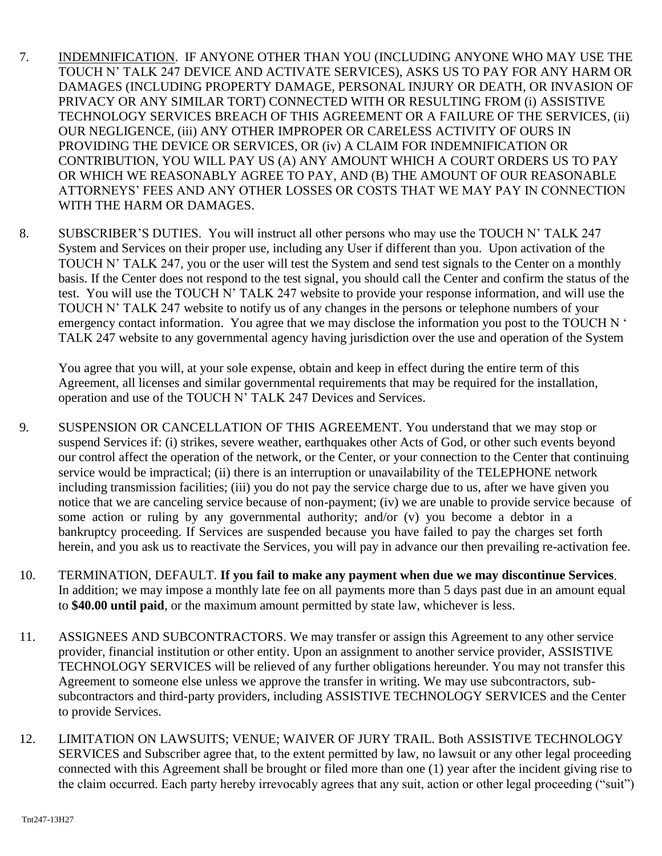- 7. INDEMNIFICATION. IF ANYONE OTHER THAN YOU (INCLUDING ANYONE WHO MAY USE THE TOUCH N' TALK 247 DEVICE AND ACTIVATE SERVICES), ASKS US TO PAY FOR ANY HARM OR DAMAGES (INCLUDING PROPERTY DAMAGE, PERSONAL INJURY OR DEATH, OR INVASION OF PRIVACY OR ANY SIMILAR TORT) CONNECTED WITH OR RESULTING FROM (i) ASSISTIVE TECHNOLOGY SERVICES BREACH OF THIS AGREEMENT OR A FAILURE OF THE SERVICES, (ii) OUR NEGLIGENCE, (iii) ANY OTHER IMPROPER OR CARELESS ACTIVITY OF OURS IN PROVIDING THE DEVICE OR SERVICES, OR (iv) A CLAIM FOR INDEMNIFICATION OR CONTRIBUTION, YOU WILL PAY US (A) ANY AMOUNT WHICH A COURT ORDERS US TO PAY OR WHICH WE REASONABLY AGREE TO PAY, AND (B) THE AMOUNT OF OUR REASONABLE ATTORNEYS' FEES AND ANY OTHER LOSSES OR COSTS THAT WE MAY PAY IN CONNECTION WITH THE HARM OR DAMAGES.
- 8. SUBSCRIBER'S DUTIES. You will instruct all other persons who may use the TOUCH N' TALK 247 System and Services on their proper use, including any User if different than you. Upon activation of the TOUCH N' TALK 247, you or the user will test the System and send test signals to the Center on a monthly basis. If the Center does not respond to the test signal, you should call the Center and confirm the status of the test. You will use the TOUCH N' TALK 247 website to provide your response information, and will use the TOUCH N' TALK 247 website to notify us of any changes in the persons or telephone numbers of your emergency contact information. You agree that we may disclose the information you post to the TOUCH N ' TALK 247 website to any governmental agency having jurisdiction over the use and operation of the System

You agree that you will, at your sole expense, obtain and keep in effect during the entire term of this Agreement, all licenses and similar governmental requirements that may be required for the installation, operation and use of the TOUCH N' TALK 247 Devices and Services.

- 9. SUSPENSION OR CANCELLATION OF THIS AGREEMENT. You understand that we may stop or suspend Services if: (i) strikes, severe weather, earthquakes other Acts of God, or other such events beyond our control affect the operation of the network, or the Center, or your connection to the Center that continuing service would be impractical; (ii) there is an interruption or unavailability of the TELEPHONE network including transmission facilities; (iii) you do not pay the service charge due to us, after we have given you notice that we are canceling service because of non-payment; (iv) we are unable to provide service because of some action or ruling by any governmental authority; and/or (v) you become a debtor in a bankruptcy proceeding. If Services are suspended because you have failed to pay the charges set forth herein, and you ask us to reactivate the Services, you will pay in advance our then prevailing re-activation fee.
- 10. TERMINATION, DEFAULT. **If you fail to make any payment when due we may discontinue Services**. In addition; we may impose a monthly late fee on all payments more than 5 days past due in an amount equal to **\$40.00 until paid**, or the maximum amount permitted by state law, whichever is less.
- 11. ASSIGNEES AND SUBCONTRACTORS. We may transfer or assign this Agreement to any other service provider, financial institution or other entity. Upon an assignment to another service provider, ASSISTIVE TECHNOLOGY SERVICES will be relieved of any further obligations hereunder. You may not transfer this Agreement to someone else unless we approve the transfer in writing. We may use subcontractors, subsubcontractors and third-party providers, including ASSISTIVE TECHNOLOGY SERVICES and the Center to provide Services.
- 12. LIMITATION ON LAWSUITS; VENUE; WAIVER OF JURY TRAIL. Both ASSISTIVE TECHNOLOGY SERVICES and Subscriber agree that, to the extent permitted by law, no lawsuit or any other legal proceeding connected with this Agreement shall be brought or filed more than one (1) year after the incident giving rise to the claim occurred. Each party hereby irrevocably agrees that any suit, action or other legal proceeding ("suit")